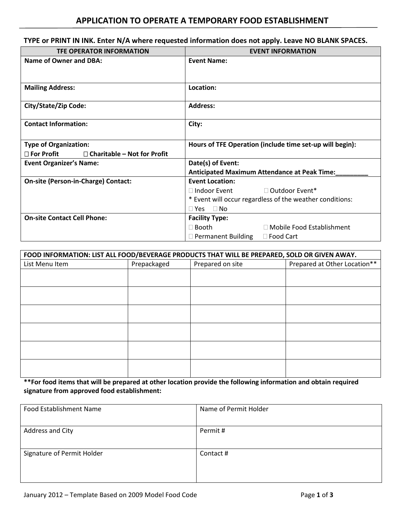## **TYPE or PRINT IN INK. Enter N/A where requested information does not apply. Leave NO BLANK SPACES.**

| <b>TFE OPERATOR INFORMATION</b>                            | <b>EVENT INFORMATION</b>                                                               |  |  |
|------------------------------------------------------------|----------------------------------------------------------------------------------------|--|--|
| <b>Name of Owner and DBA:</b>                              | <b>Event Name:</b>                                                                     |  |  |
| <b>Mailing Address:</b>                                    | Location:                                                                              |  |  |
| City/State/Zip Code:                                       | <b>Address:</b>                                                                        |  |  |
| <b>Contact Information:</b>                                | City:                                                                                  |  |  |
| <b>Type of Organization:</b>                               | Hours of TFE Operation (include time set-up will begin):                               |  |  |
| $\square$ For Profit<br>$\Box$ Charitable – Not for Profit |                                                                                        |  |  |
| <b>Event Organizer's Name:</b>                             | Date(s) of Event:<br><b>Anticipated Maximum Attendance at Peak Time:</b>               |  |  |
|                                                            |                                                                                        |  |  |
| On-site (Person-in-Charge) Contact:                        | <b>Event Location:</b>                                                                 |  |  |
|                                                            | □ Outdoor Event*<br>$\Box$ Indoor Event                                                |  |  |
|                                                            | * Event will occur regardless of the weather conditions:<br>$\Box$ No<br>$\square$ Yes |  |  |
|                                                            |                                                                                        |  |  |
| <b>On-site Contact Cell Phone:</b>                         | <b>Facility Type:</b>                                                                  |  |  |
|                                                            | $\Box$ Booth<br>$\Box$ Mobile Food Establishment                                       |  |  |
|                                                            | $\Box$ Permanent Building<br>$\Box$ Food Cart                                          |  |  |

| FOOD INFORMATION: LIST ALL FOOD/BEVERAGE PRODUCTS THAT WILL BE PREPARED, SOLD OR GIVEN AWAY. |             |                  |                              |  |
|----------------------------------------------------------------------------------------------|-------------|------------------|------------------------------|--|
| List Menu Item                                                                               | Prepackaged | Prepared on site | Prepared at Other Location** |  |
|                                                                                              |             |                  |                              |  |
|                                                                                              |             |                  |                              |  |
|                                                                                              |             |                  |                              |  |
|                                                                                              |             |                  |                              |  |
|                                                                                              |             |                  |                              |  |
|                                                                                              |             |                  |                              |  |
|                                                                                              |             |                  |                              |  |
|                                                                                              |             |                  |                              |  |
|                                                                                              |             |                  |                              |  |
|                                                                                              |             |                  |                              |  |
|                                                                                              |             |                  |                              |  |
|                                                                                              |             |                  |                              |  |

**\*\*For food items that will be prepared at other location provide the following information and obtain required signature from approved food establishment:** 

| <b>Food Establishment Name</b> | Name of Permit Holder |
|--------------------------------|-----------------------|
| Address and City               | Permit #              |
| Signature of Permit Holder     | Contact #             |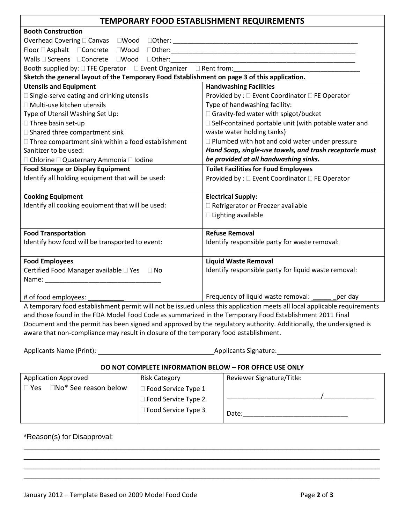| TEMPORARY FOOD ESTABLISHMENT REQUIREMENTS                                                                                                                                                                                      |                                                                                                                                                                                                                                                                                     |  |  |
|--------------------------------------------------------------------------------------------------------------------------------------------------------------------------------------------------------------------------------|-------------------------------------------------------------------------------------------------------------------------------------------------------------------------------------------------------------------------------------------------------------------------------------|--|--|
| <b>Booth Construction</b>                                                                                                                                                                                                      |                                                                                                                                                                                                                                                                                     |  |  |
|                                                                                                                                                                                                                                |                                                                                                                                                                                                                                                                                     |  |  |
|                                                                                                                                                                                                                                |                                                                                                                                                                                                                                                                                     |  |  |
|                                                                                                                                                                                                                                |                                                                                                                                                                                                                                                                                     |  |  |
| Booth supplied by: □ TFE Operator □ Event Organizer □ Rent from:                                                                                                                                                               |                                                                                                                                                                                                                                                                                     |  |  |
| Sketch the general layout of the Temporary Food Establishment on page 3 of this application.                                                                                                                                   |                                                                                                                                                                                                                                                                                     |  |  |
| <b>Utensils and Equipment</b>                                                                                                                                                                                                  | <b>Handwashing Facilities</b>                                                                                                                                                                                                                                                       |  |  |
| □ Single-serve eating and drinking utensils                                                                                                                                                                                    | Provided by : □ Event Coordinator □ FE Operator                                                                                                                                                                                                                                     |  |  |
| □ Multi-use kitchen utensils                                                                                                                                                                                                   | Type of handwashing facility:                                                                                                                                                                                                                                                       |  |  |
| Type of Utensil Washing Set Up:                                                                                                                                                                                                | □ Gravity-fed water with spigot/bucket                                                                                                                                                                                                                                              |  |  |
| □ Three basin set-up                                                                                                                                                                                                           | □ Self-contained portable unit (with potable water and                                                                                                                                                                                                                              |  |  |
| $\Box$ Shared three compartment sink                                                                                                                                                                                           | waste water holding tanks)                                                                                                                                                                                                                                                          |  |  |
| $\Box$ Three compartment sink within a food establishment                                                                                                                                                                      | □ Plumbed with hot and cold water under pressure                                                                                                                                                                                                                                    |  |  |
| Sanitizer to be used:                                                                                                                                                                                                          | Hand Soap, single-use towels, and trash receptacle must                                                                                                                                                                                                                             |  |  |
| $\Box$ Chlorine $\Box$ Quaternary Ammonia $\Box$ Iodine                                                                                                                                                                        | be provided at all handwashing sinks.                                                                                                                                                                                                                                               |  |  |
| <b>Food Storage or Display Equipment</b>                                                                                                                                                                                       | <b>Toilet Facilities for Food Employees</b>                                                                                                                                                                                                                                         |  |  |
| Identify all holding equipment that will be used:                                                                                                                                                                              | Provided by : □ Event Coordinator □ FE Operator                                                                                                                                                                                                                                     |  |  |
|                                                                                                                                                                                                                                |                                                                                                                                                                                                                                                                                     |  |  |
| <b>Cooking Equipment</b>                                                                                                                                                                                                       | <b>Electrical Supply:</b>                                                                                                                                                                                                                                                           |  |  |
| Identify all cooking equipment that will be used:                                                                                                                                                                              | Refrigerator or Freezer available                                                                                                                                                                                                                                                   |  |  |
|                                                                                                                                                                                                                                | $\Box$ Lighting available                                                                                                                                                                                                                                                           |  |  |
|                                                                                                                                                                                                                                | <b>Refuse Removal</b>                                                                                                                                                                                                                                                               |  |  |
| <b>Food Transportation</b>                                                                                                                                                                                                     |                                                                                                                                                                                                                                                                                     |  |  |
| Identify how food will be transported to event:                                                                                                                                                                                | Identify responsible party for waste removal:                                                                                                                                                                                                                                       |  |  |
| <b>Food Employees</b>                                                                                                                                                                                                          | <b>Liquid Waste Removal</b>                                                                                                                                                                                                                                                         |  |  |
| Certified Food Manager available □ Yes □ No                                                                                                                                                                                    | Identify responsible party for liquid waste removal:                                                                                                                                                                                                                                |  |  |
| Name: Name and the state of the state of the state of the state of the state of the state of the state of the state of the state of the state of the state of the state of the state of the state of the state of the state of |                                                                                                                                                                                                                                                                                     |  |  |
|                                                                                                                                                                                                                                |                                                                                                                                                                                                                                                                                     |  |  |
| # of food employees:                                                                                                                                                                                                           | Frequency of liquid waste removal: _______per day<br>the state of the state of the state of the state of the state of the state of the state of the state of the state of the state of the state of the state of the state of the state of the state of the state of the state of t |  |  |

A temporary food establishment permit will not be issued unless this application meets all local applicable requirements and those found in the FDA Model Food Code as summarized in the Temporary Food Establishment 2011 Final Document and the permit has been signed and approved by the regulatory authority. Additionally, the undersigned is aware that non-compliance may result in closure of the temporary food establishment.

Applicants Name (Print): Applicants Signature:

## **DO NOT COMPLETE INFORMATION BELOW – FOR OFFICE USE ONLY**

| <b>Application Approved</b>                       | <b>Risk Category</b>       | Reviewer Signature/Title: |
|---------------------------------------------------|----------------------------|---------------------------|
| $\square$ No* See reason below<br>$\sqsupset$ Yes | $\Box$ Food Service Type 1 |                           |
|                                                   | $\Box$ Food Service Type 2 |                           |
|                                                   | $\Box$ Food Service Type 3 | Date:                     |

\_\_\_\_\_\_\_\_\_\_\_\_\_\_\_\_\_\_\_\_\_\_\_\_\_\_\_\_\_\_\_\_\_\_\_\_\_\_\_\_\_\_\_\_\_\_\_\_\_\_\_\_\_\_\_\_\_\_\_\_\_\_\_\_\_\_\_\_\_\_\_\_\_\_\_\_\_\_\_\_\_\_\_\_\_\_\_\_ \_\_\_\_\_\_\_\_\_\_\_\_\_\_\_\_\_\_\_\_\_\_\_\_\_\_\_\_\_\_\_\_\_\_\_\_\_\_\_\_\_\_\_\_\_\_\_\_\_\_\_\_\_\_\_\_\_\_\_\_\_\_\_\_\_\_\_\_\_\_\_\_\_\_\_\_\_\_\_\_\_\_\_\_\_\_\_\_ \_\_\_\_\_\_\_\_\_\_\_\_\_\_\_\_\_\_\_\_\_\_\_\_\_\_\_\_\_\_\_\_\_\_\_\_\_\_\_\_\_\_\_\_\_\_\_\_\_\_\_\_\_\_\_\_\_\_\_\_\_\_\_\_\_\_\_\_\_\_\_\_\_\_\_\_\_\_\_\_\_\_\_\_\_\_\_\_ \_\_\_\_\_\_\_\_\_\_\_\_\_\_\_\_\_\_\_\_\_\_\_\_\_\_\_\_\_\_\_\_\_\_\_\_\_\_\_\_\_\_\_\_\_\_\_\_\_\_\_\_\_\_\_\_\_\_\_\_\_\_\_\_\_\_\_\_\_\_\_\_\_\_\_\_\_\_\_\_\_\_\_\_\_\_\_\_

\*Reason(s) for Disapproval: